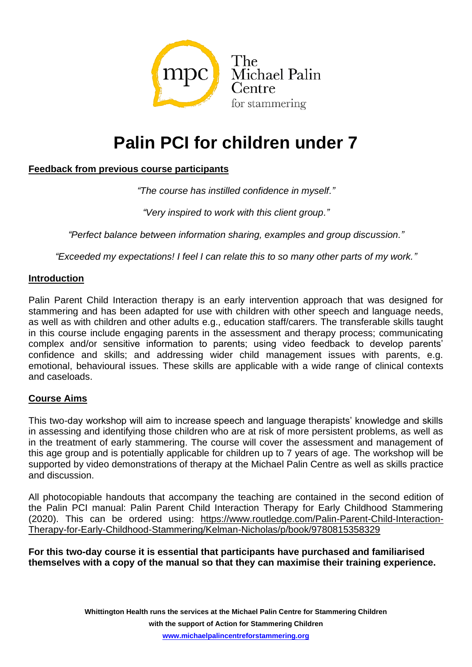

# **Palin PCI for children under 7**

# **Feedback from previous course participants**

*"The course has instilled confidence in myself."*

*"Very inspired to work with this client group."*

*"Perfect balance between information sharing, examples and group discussion."*

*"Exceeded my expectations! I feel I can relate this to so many other parts of my work."*

#### **Introduction**

Palin Parent Child Interaction therapy is an early intervention approach that was designed for stammering and has been adapted for use with children with other speech and language needs, as well as with children and other adults e.g., education staff/carers. The transferable skills taught in this course include engaging parents in the assessment and therapy process; communicating complex and/or sensitive information to parents; using video feedback to develop parents' confidence and skills; and addressing wider child management issues with parents, e.g. emotional, behavioural issues. These skills are applicable with a wide range of clinical contexts and caseloads.

## **Course Aims**

This two-day workshop will aim to increase speech and language therapists' knowledge and skills in assessing and identifying those children who are at risk of more persistent problems, as well as in the treatment of early stammering. The course will cover the assessment and management of this age group and is potentially applicable for children up to 7 years of age. The workshop will be supported by video demonstrations of therapy at the Michael Palin Centre as well as skills practice and discussion.

All photocopiable handouts that accompany the teaching are contained in the second edition of the Palin PCI manual: Palin Parent Child Interaction Therapy for Early Childhood Stammering (2020). This can be ordered using: [https://www.routledge.com/Palin-Parent-Child-Interaction-](https://www.routledge.com/Palin-Parent-Child-Interaction-Therapy-for-Early-Childhood-Stammering/Kelman-Nicholas/p/book/9780815358329)[Therapy-for-Early-Childhood-Stammering/Kelman-Nicholas/p/book/9780815358329](https://www.routledge.com/Palin-Parent-Child-Interaction-Therapy-for-Early-Childhood-Stammering/Kelman-Nicholas/p/book/9780815358329)

**For this two-day course it is essential that participants have purchased and familiarised themselves with a copy of the manual so that they can maximise their training experience.**